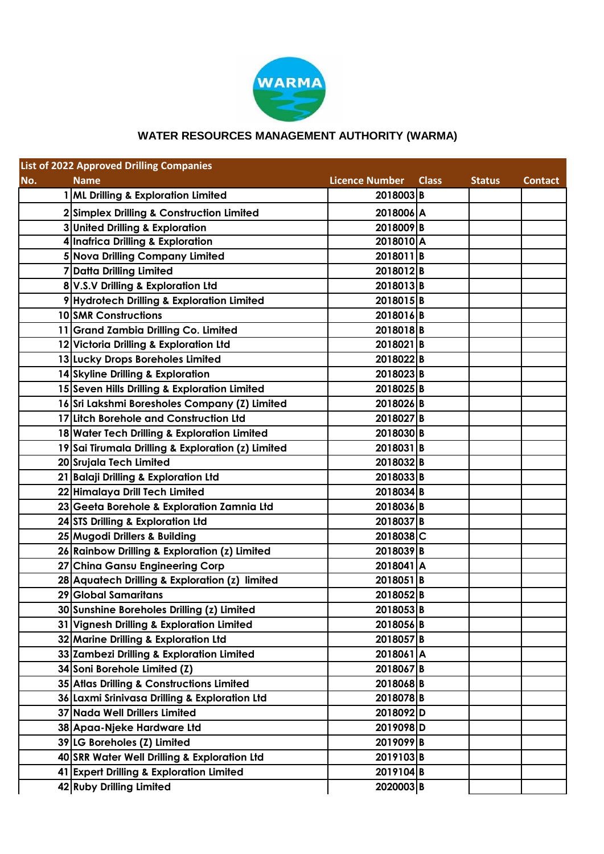

## **WATER RESOURCES MANAGEMENT AUTHORITY (WARMA)**

| <b>List of 2022 Approved Drilling Companies</b> |                                                    |                       |              |               |                |  |  |  |
|-------------------------------------------------|----------------------------------------------------|-----------------------|--------------|---------------|----------------|--|--|--|
| No.                                             | <b>Name</b>                                        | <b>Licence Number</b> | <b>Class</b> | <b>Status</b> | <b>Contact</b> |  |  |  |
|                                                 | 1 ML Drilling & Exploration Limited                | 2018003B              |              |               |                |  |  |  |
|                                                 | 2 Simplex Drilling & Construction Limited          | 2018006 A             |              |               |                |  |  |  |
|                                                 | 3 United Drilling & Exploration                    | 2018009B              |              |               |                |  |  |  |
|                                                 | 4 Inafrica Drilling & Exploration                  | 2018010 A             |              |               |                |  |  |  |
|                                                 | 5 Nova Drilling Company Limited                    | 2018011B              |              |               |                |  |  |  |
|                                                 | 7 Datta Drilling Limited                           | 2018012B              |              |               |                |  |  |  |
|                                                 | 8 V.S.V Drilling & Exploration Ltd                 | 2018013B              |              |               |                |  |  |  |
|                                                 | 9 Hydrotech Drilling & Exploration Limited         | 2018015B              |              |               |                |  |  |  |
|                                                 | 10 SMR Constructions                               | 2018016B              |              |               |                |  |  |  |
|                                                 | 11 Grand Zambia Drilling Co. Limited               | 2018018B              |              |               |                |  |  |  |
|                                                 | 12 Victoria Drilling & Exploration Ltd             | 2018021B              |              |               |                |  |  |  |
|                                                 | 13 Lucky Drops Boreholes Limited                   | 2018022B              |              |               |                |  |  |  |
|                                                 | 14 Skyline Drilling & Exploration                  | 2018023B              |              |               |                |  |  |  |
|                                                 | 15 Seven Hills Drilling & Exploration Limited      | 2018025B              |              |               |                |  |  |  |
|                                                 | 16 Sri Lakshmi Boresholes Company (Z) Limited      | 2018026B              |              |               |                |  |  |  |
|                                                 | 17 Litch Borehole and Construction Ltd             | 2018027B              |              |               |                |  |  |  |
|                                                 | 18 Water Tech Drilling & Exploration Limited       | 2018030B              |              |               |                |  |  |  |
|                                                 | 19 Sai Tirumala Drilling & Exploration (z) Limited | 2018031B              |              |               |                |  |  |  |
|                                                 | 20 Srujala Tech Limited                            | 2018032B              |              |               |                |  |  |  |
|                                                 | 21 Balaji Drilling & Exploration Ltd               | 2018033B              |              |               |                |  |  |  |
|                                                 | 22 Himalaya Drill Tech Limited                     | 2018034B              |              |               |                |  |  |  |
|                                                 | 23 Geeta Borehole & Exploration Zamnia Ltd         | 2018036B              |              |               |                |  |  |  |
|                                                 | 24 STS Drilling & Exploration Ltd                  | 2018037B              |              |               |                |  |  |  |
|                                                 | 25 Mugodi Drillers & Building                      | 2018038 C             |              |               |                |  |  |  |
|                                                 | 26 Rainbow Drilling & Exploration (z) Limited      | 2018039B              |              |               |                |  |  |  |
|                                                 | 27 China Gansu Engineering Corp                    | 2018041 A             |              |               |                |  |  |  |
|                                                 | 28 Aquatech Drilling & Exploration (z) limited     | 2018051B              |              |               |                |  |  |  |
|                                                 | 29 Global Samaritans                               | 2018052B              |              |               |                |  |  |  |
|                                                 | 30 Sunshine Boreholes Drilling (z) Limited         | 2018053B              |              |               |                |  |  |  |
|                                                 | 31 Vignesh Drilling & Exploration Limited          | 2018056B              |              |               |                |  |  |  |
|                                                 | 32 Marine Drilling & Exploration Ltd               | 2018057B              |              |               |                |  |  |  |
|                                                 | 33 Zambezi Drilling & Exploration Limited          | 2018061A              |              |               |                |  |  |  |
|                                                 | 34 Soni Borehole Limited (Z)                       | 2018067B              |              |               |                |  |  |  |
|                                                 | 35 Atlas Drilling & Constructions Limited          | 2018068B              |              |               |                |  |  |  |
|                                                 | 36 Laxmi Srinivasa Drilling & Exploration Ltd      | 2018078B              |              |               |                |  |  |  |
|                                                 | 37 Nada Well Drillers Limited                      | 2018092D              |              |               |                |  |  |  |
|                                                 | 38 Apaa-Njeke Hardware Ltd                         | 2019098D              |              |               |                |  |  |  |
|                                                 | 39 LG Boreholes (Z) Limited                        | 2019099B              |              |               |                |  |  |  |
|                                                 | 40 SRR Water Well Drilling & Exploration Ltd       | 2019103B              |              |               |                |  |  |  |
|                                                 | 41 Expert Drilling & Exploration Limited           | 2019104B              |              |               |                |  |  |  |
|                                                 | 42 Ruby Drilling Limited                           | 2020003B              |              |               |                |  |  |  |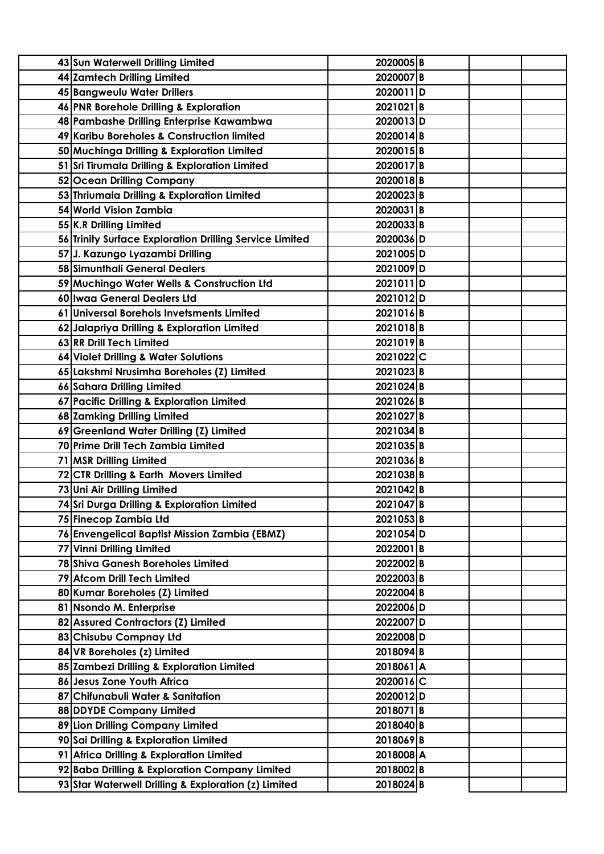| 43 Sun Waterwell Drilling Limited                       | 2020005B  |
|---------------------------------------------------------|-----------|
| 44 Zamtech Drilling Limited                             | 2020007B  |
| 45 Bangweulu Water Drillers                             | 2020011D  |
| 46 PNR Borehole Drilling & Exploration                  | 2021021B  |
| 48 Pambashe Drilling Enterprise Kawambwa                | 2020013D  |
| 49 Karibu Boreholes & Construction limited              | 2020014B  |
| 50 Muchinga Drilling & Exploration Limited              | 2020015B  |
| 51 Sri Tirumala Drilling & Exploration Limited          | 2020017B  |
| 52 Ocean Drilling Company                               | 2020018B  |
| 53 Thriumala Drilling & Exploration Limited             | 2020023B  |
| 54 World Vision Zambia                                  | 2020031B  |
| 55 K.R Drilling Limited                                 | 2020033B  |
| 56 Trinity Surface Exploration Drilling Service Limited | 2020036D  |
| 57 J. Kazungo Lyazambi Drilling                         | 2021005D  |
| 58 Simunthali General Dealers                           | 2021009D  |
| 59 Muchingo Water Wells & Construction Ltd              | 2021011D  |
| 60 Iwaa General Dealers Ltd                             | 2021012D  |
| 61 Universal Borehols Invetsments Limited               | 2021016B  |
| 62 Jalapriya Drilling & Exploration Limited             | 2021018B  |
| 63 RR Drill Tech Limited                                | 2021019B  |
| 64 Violet Drilling & Water Solutions                    | 2021022C  |
| 65 Lakshmi Nrusimha Boreholes (Z) Limited               | 2021023B  |
| 66 Sahara Drilling Limited                              | 2021024B  |
| 67 Pacific Drilling & Exploration Limited               | 2021026B  |
| 68 Zamking Drilling Limited                             | 2021027B  |
| 69 Greenland Water Drilling (Z) Limited                 | 2021034B  |
| 70 Prime Drill Tech Zambia Limited                      | 2021035B  |
| 71 MSR Drilling Limited                                 | 2021036B  |
| 72 CTR Drilling & Earth Movers Limited                  | 2021038B  |
| 73 Uni Air Drilling Limited                             | 2021042B  |
| 74 Sri Durga Drilling & Exploration Limited             | 2021047B  |
| 75 Finecop Zambia Ltd                                   | 2021053B  |
| 76 Envengelical Baptist Mission Zambia (EBMZ)           | 2021054D  |
| 77 Vinni Drilling Limited                               | 2022001B  |
| 78 Shiva Ganesh Boreholes Limited                       | 2022002B  |
| 79 Afcom Drill Tech Limited                             | 2022003B  |
| 80 Kumar Boreholes (Z) Limited                          | 2022004B  |
| 81 Nsondo M. Enterprise                                 | 2022006D  |
| 82 Assured Contractors (Z) Limited                      | 2022007D  |
| 83 Chisubu Compnay Ltd                                  | 2022008D  |
| 84 VR Boreholes (z) Limited                             | 2018094B  |
| 85 Zambezi Drilling & Exploration Limited               | 2018061A  |
| 86 Jesus Zone Youth Africa                              | 2020016C  |
| 87 Chifunabuli Water & Sanitation                       | 2020012D  |
| 88 DDYDE Company Limited                                | 2018071B  |
| 89 Lion Drilling Company Limited                        | 2018040B  |
| 90 Sai Drilling & Exploration Limited                   | 2018069B  |
| 91 Africa Drilling & Exploration Limited                | 2018008 A |
|                                                         | 2018002B  |
| 92 Baba Drilling & Exploration Company Limited          |           |
| 93 Star Waterwell Drilling & Exploration (z) Limited    | 2018024B  |